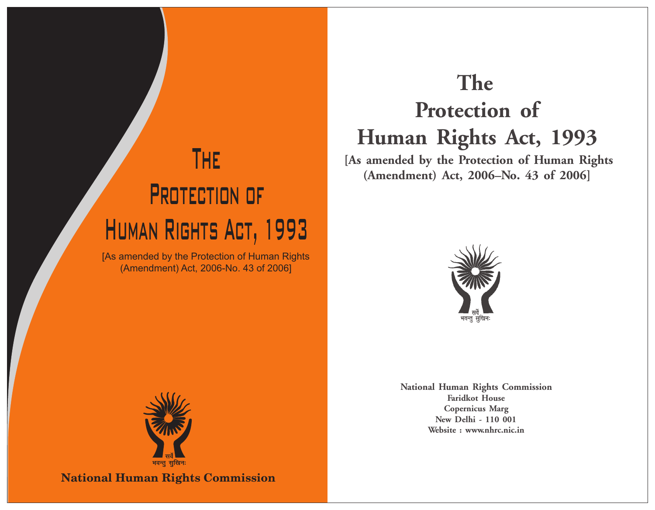# The PROTECTION OF Human Rights Act, 1993

[As amended by the Protection of Human Rights (Amendment) Act, 2006-No. 43 of 2006]

# **The Protection of Human Rights Act, 1993**

**[As amended by the Protection of Human Rights (Amendment) Act, 2006–No. 43 of 2006]**



**National Human Rights Commission Faridkot House Copernicus Marg New Delhi - 110 001 Website : www.nhrc.nic.in**



**National Human Rights Commission**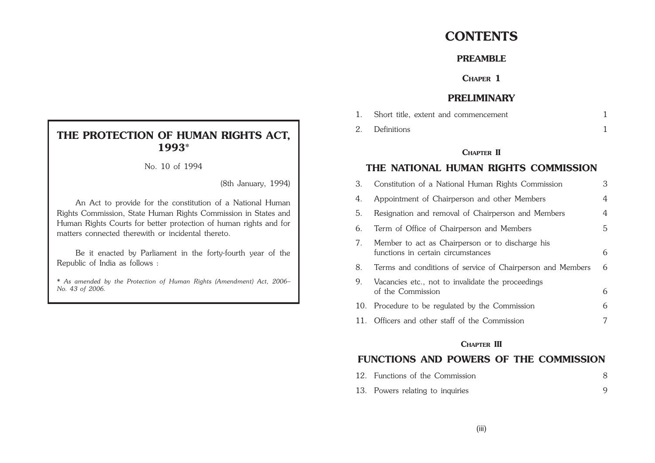# **CONTENTS**

### **PREAMBLE**

### **CHAPER 1**

### **PRELIMINARY**

| 1. Short title, extent and commencement |  |
|-----------------------------------------|--|
| 2. Definitions                          |  |

### **CHAPTER II**

### **THE NATIONAL HUMAN RIGHTS COMMISSION**

| 3. | Constitution of a National Human Rights Commission                                     | 3  |
|----|----------------------------------------------------------------------------------------|----|
| 4. | Appointment of Chairperson and other Members                                           | 4  |
| 5. | Resignation and removal of Chairperson and Members                                     | 4  |
| 6. | Term of Office of Chairperson and Members                                              | 5. |
| 7. | Member to act as Chairperson or to discharge his<br>functions in certain circumstances | 6  |
| 8. | Terms and conditions of service of Chairperson and Members                             | 6  |
| 9. | Vacancies etc., not to invalidate the proceedings<br>of the Commission                 | 6  |
|    | 10. Procedure to be regulated by the Commission                                        | 6  |
|    | 11. Officers and other staff of the Commission                                         | 7  |

### **CHAPTER III**

## **FUNCTIONS AND POWERS OF THE COMMISSION**

|  |  | 12. Functions of the Commission |  |
|--|--|---------------------------------|--|
|  |  |                                 |  |

13. Powers relating to inquiries 9

### **THE PROTECTION OF HUMAN RIGHTS ACT, 1993\***

No. 10 of 1994

(8th January, 1994)

An Act to provide for the constitution of a National Human Rights Commission, State Human Rights Commission in States and Human Rights Courts for better protection of human rights and for matters connected therewith or incidental thereto.

Be it enacted by Parliament in the forty-fourth year of the Republic of India as follows :

*\* As amended by the Protection of Human Rights (Amendment) Act, 2006– No. 43 of 2006.*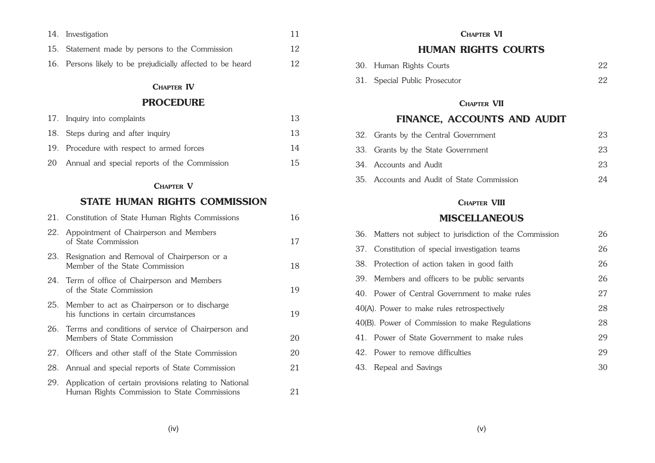| 14. Investigation                                           | 11 |
|-------------------------------------------------------------|----|
| 15. Statement made by persons to the Commission             | 12 |
| 16. Persons likely to be prejudicially affected to be heard | 12 |

### **CHAPTER IV**

### **PROCEDURE**

| 17. Inquiry into complaints                     | 13 |
|-------------------------------------------------|----|
| 18. Steps during and after inquiry              | 13 |
| 19. Procedure with respect to armed forces      | 14 |
| 20 Annual and special reports of the Commission | 15 |

### **CHAPTER V**

### **STATE HUMAN RIGHTS COMMISSION**

|     | 21. Constitution of State Human Rights Commissions                                                     | 16 |
|-----|--------------------------------------------------------------------------------------------------------|----|
|     | 22. Appointment of Chairperson and Members<br>of State Commission                                      | 17 |
|     | 23. Resignation and Removal of Chairperson or a<br>Member of the State Commission                      | 18 |
|     | 24. Term of office of Chairperson and Members<br>of the State Commission                               | 19 |
|     | 25. Member to act as Chairperson or to discharge<br>his functions in certain circumstances             | 19 |
|     | 26. Terms and conditions of service of Chairperson and<br>Members of State Commission                  | 20 |
|     | 27. Officers and other staff of the State Commission                                                   | 20 |
|     | 28. Annual and special reports of State Commission                                                     | 21 |
| 29. | Application of certain provisions relating to National<br>Human Rights Commission to State Commissions | 21 |
|     |                                                                                                        |    |

### **CHAPTER VI**

### **HUMAN RIGHTS COURTS**

30. Human Rights Courts 22 31. Special Public Prosecutor 22

### **CHAPTER VII**

### **FINANCE, ACCOUNTS AND AUDIT**

| 32. Grants by the Central Government       | 23  |
|--------------------------------------------|-----|
| 33. Grants by the State Government         | 23. |
| 34. Accounts and Audit                     | 23. |
| 35. Accounts and Audit of State Commission | 24  |

### **CHAPTER VIII**

### **MISCELLANEOUS**

| 36. Matters not subject to jurisdiction of the Commission | 26 |
|-----------------------------------------------------------|----|
| 37. Constitution of special investigation teams           | 26 |
| 38. Protection of action taken in good faith              | 26 |
| 39. Members and officers to be public servants            | 26 |
| 40. Power of Central Government to make rules             | 27 |
| 40(A). Power to make rules retrospectively                | 28 |
| 40(B). Power of Commission to make Regulations            | 28 |
| 41. Power of State Government to make rules               | 29 |
| 42. Power to remove difficulties                          | 29 |
| 43. Repeal and Savings                                    | 30 |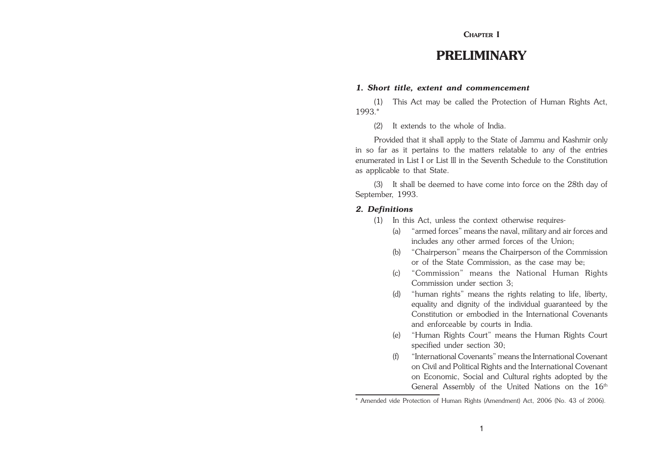# **PRELIMINARY**

#### *1. Short title, extent and commencement*

(1) This Act may be called the Protection of Human Rights Act, 1993.\*

(2) It extends to the whole of India.

Provided that it shall apply to the State of Jammu and Kashmir only in so far as it pertains to the matters relatable to any of the entries enumerated in List I or List lll in the Seventh Schedule to the Constitution as applicable to that State.

(3) It shall be deemed to have come into force on the 28th day of September, 1993.

#### *2. Definitions*

- (1) In this Act, unless the context otherwise requires-
	- (a) "armed forces" means the naval, military and air forces and includes any other armed forces of the Union;
	- (b) "Chairperson" means the Chairperson of the Commission or of the State Commission, as the case may be;
	- (c) "Commission" means the National Human Rights Commission under section 3;
	- (d) "human rights" means the rights relating to life, liberty, equality and dignity of the individual guaranteed by the Constitution or embodied in the International Covenants and enforceable by courts in India.
	- (e) "Human Rights Court" means the Human Rights Court specified under section 30;
	- (f) "International Covenants" means the International Covenant on Civil and Political Rights and the International Covenant on Economic, Social and Cultural rights adopted by the General Assembly of the United Nations on the 16<sup>th</sup>

<sup>\*</sup> Amended vide Protection of Human Rights (Amendment) Act, 2006 (No. 43 of 2006).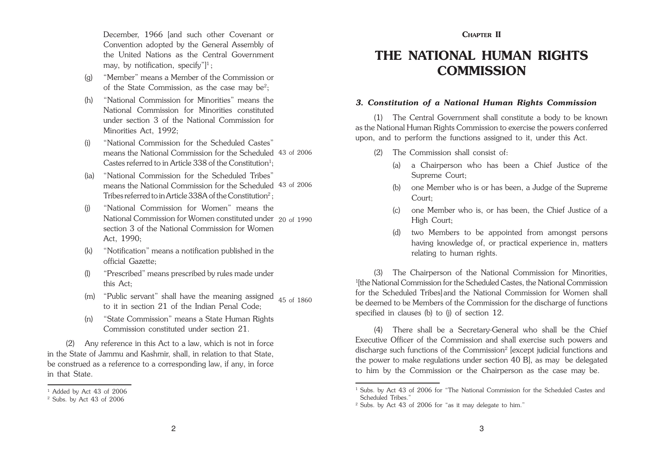December, 1966 [and such other Covenant or Convention adopted by the General Assembly of the United Nations as the Central Government may, by notification, specify" $]$ <sup>1</sup>;

- (g) "Member" means a Member of the Commission or of the State Commission, as the case may be<sup>2</sup>;
- (h) "National Commission for Minorities" means the National Commission for Minorities constituted under section 3 of the National Commission for Minorities Act, 1992;
- (i) "National Commission for the Scheduled Castes" means the National Commission for the Scheduled 43 of 2006 Castes referred to in Article 338 of the Constitution<sup>1</sup>:
- (ia) "National Commission for the Scheduled Tribes" means the National Commission for the Scheduled 43 of 2006 Tribes referred to in Article 338A of the Constitution<sup>2</sup>;
- (j) "National Commission for Women" means the National Commission for Women constituted under 20 of 1990 section 3 of the National Commission for Women Act, 1990;
- (k) "Notification" means a notification published in the official Gazette;
- (l) "Prescribed" means prescribed by rules made under this Act;
- (m) "Public servant" shall have the meaning assigned  $_{\rm 45~of}$   $_{\rm 1860}$ to it in section 21 of the Indian Penal Code;
- (n) "State Commission" means a State Human Rights Commission constituted under section 21.

(2) Any reference in this Act to a law, which is not in force in the State of Jammu and Kashmir, shall, in relation to that State, be construed as a reference to a corresponding law, if any, in force in that State.

**CHAPTER II**

# **THE NATIONAL HUMAN RIGHTS COMMISSION**

### *3. Constitution of a National Human Rights Commission*

(1) The Central Government shall constitute a body to be known as the National Human Rights Commission to exercise the powers conferred upon, and to perform the functions assigned to it, under this Act.

- (2) The Commission shall consist of:
	- (a) a Chairperson who has been a Chief Justice of the Supreme Court;
	- (b) one Member who is or has been, a Judge of the Supreme Court;
	- (c) one Member who is, or has been, the Chief Justice of a High Court;
	- (d) two Members to be appointed from amongst persons having knowledge of, or practical experience in, matters relating to human rights.

(3) The Chairperson of the National Commission for Minorities, 1[the National Commission for the Scheduled Castes, the National Commission for the Scheduled Tribes]and the National Commission for Women shall be deemed to be Members of the Commission for the discharge of functions specified in clauses (b) to (j) of section 12.

(4) There shall be a Secretary-General who shall be the Chief Executive Officer of the Commission and shall exercise such powers and discharge such functions of the Commission<sup>2</sup> [except judicial functions and the power to make regulations under section 40 B], as may be delegated to him by the Commission or the Chairperson as the case may be.

<sup>1</sup> Added by Act 43 of 2006

<sup>2</sup> Subs. by Act 43 of 2006

<sup>1</sup> Subs. by Act 43 of 2006 for "The National Commission for the Scheduled Castes and Scheduled Tribes."

<sup>2</sup> Subs. by Act 43 of 2006 for "as it may delegate to him."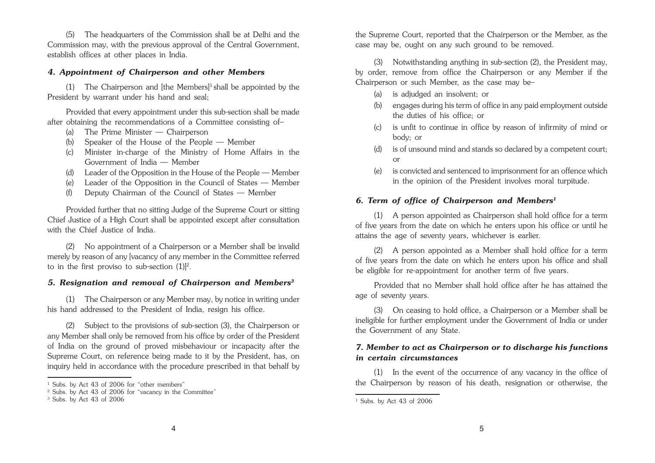(5) The headquarters of the Commission shall be at Delhi and the Commission may, with the previous approval of the Central Government, establish offices at other places in India.

### *4. Appointment of Chairperson and other Members*

(1) The Chairperson and  $[the \text{ Members}]$  shall be appointed by the President by warrant under his hand and seal;

Provided that every appointment under this sub-section shall be made after obtaining the recommendations of a Committee consisting of–

- (a) The Prime Minister Chairperson
- (b) Speaker of the House of the People Member
- (c) Minister in-charge of the Ministry of Home Affairs in the Government of India — Member
- (d) Leader of the Opposition in the House of the People Member
- (e) Leader of the Opposition in the Council of States Member
- (f) Deputy Chairman of the Council of States Member

Provided further that no sitting Judge of the Supreme Court or sitting Chief Justice of a High Court shall be appointed except after consultation with the Chief Justice of India.

(2) No appointment of a Chairperson or a Member shall be invalid merely by reason of any [vacancy of any member in the Committee referred to in the first proviso to sub-section  $(1)$ <sup>2</sup>.

### *5. Resignation and removal of Chairperson and Members3*

(1) The Chairperson or any Member may, by notice in writing under his hand addressed to the President of India, resign his office.

(2) Subject to the provisions of sub-section (3), the Chairperson or any Member shall only be removed from his office by order of the President of India on the ground of proved misbehaviour or incapacity after the Supreme Court, on reference being made to it by the President, has, on inquiry held in accordance with the procedure prescribed in that behalf by

the Supreme Court, reported that the Chairperson or the Member, as the case may be, ought on any such ground to be removed.

(3) Notwithstanding anything in sub-section (2), the President may, by order, remove from office the Chairperson or any Member if the Chairperson or such Member, as the case may be–

- (a) is adjudged an insolvent; or
- (b) engages during his term of office in any paid employment outside the duties of his office; or
- (c) is unfit to continue in office by reason of infirmity of mind or body; or
- is of unsound mind and stands so declared by a competent court; or
- (e) is convicted and sentenced to imprisonment for an offence which in the opinion of the President involves moral turpitude.

### *6. Term of office of Chairperson and Members1*

(1) A person appointed as Chairperson shall hold office for a term of five years from the date on which he enters upon his office or until he attains the age of seventy years, whichever is earlier.

(2) A person appointed as a Member shall hold office for a term of five years from the date on which he enters upon his office and shall be eligible for re-appointment for another term of five years.

Provided that no Member shall hold office after he has attained the age of seventy years.

(3) On ceasing to hold office, a Chairperson or a Member shall be ineligible for further employment under the Government of India or under the Government of any State.

### *7. Member to act as Chairperson or to discharge his functions in certain circumstances*

(1) In the event of the occurrence of any vacancy in the office of  $\frac{1}{1}$  Subs. by Act 43 of 2006 for "other members" the Chairperson by reason of his death, resignation or otherwise, the

<sup>2</sup> Subs. by Act 43 of 2006 for "vacancy in the Committee"

<sup>3</sup> Subs. by Act 43 of 2006

<sup>1</sup> Subs. by Act 43 of 2006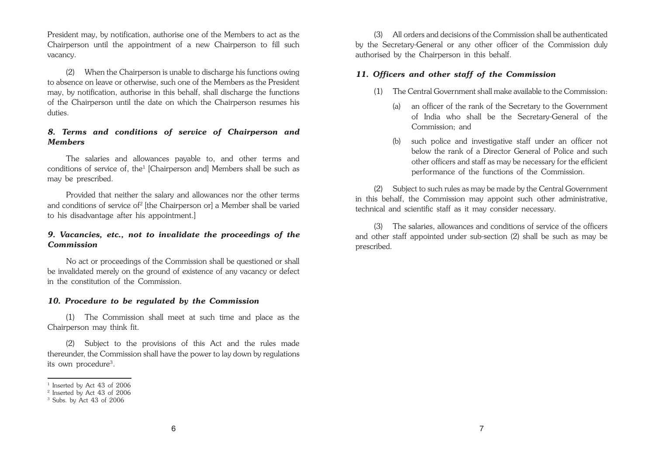President may, by notification, authorise one of the Members to act as the Chairperson until the appointment of a new Chairperson to fill such vacancy.

(2) When the Chairperson is unable to discharge his functions owing to absence on leave or otherwise, such one of the Members as the President may, by notification, authorise in this behalf, shall discharge the functions of the Chairperson until the date on which the Chairperson resumes his duties.

### *8. Terms and conditions of service of Chairperson and Members*

The salaries and allowances payable to, and other terms and conditions of service of, the<sup>1</sup> [Chairperson and] Members shall be such as may be prescribed.

Provided that neither the salary and allowances nor the other terms and conditions of service of<sup>2</sup> [the Chairperson or] a Member shall be varied to his disadvantage after his appointment.]

### *9. Vacancies, etc., not to invalidate the proceedings of the Commission*

No act or proceedings of the Commission shall be questioned or shall be invalidated merely on the ground of existence of any vacancy or defect in the constitution of the Commission.

### *10. Procedure to be regulated by the Commission*

(1) The Commission shall meet at such time and place as the Chairperson may think fit.

(2) Subject to the provisions of this Act and the rules made thereunder, the Commission shall have the power to lay down by regulations its own procedure<sup>3</sup>.

(3) All orders and decisions of the Commission shall be authenticated by the Secretary-General or any other officer of the Commission duly authorised by the Chairperson in this behalf.

### *11. Officers and other staff of the Commission*

- (1) The Central Government shall make available to the Commission:
	- (a) an officer of the rank of the Secretary to the Government of India who shall be the Secretary-General of the Commission; and
	- (b) such police and investigative staff under an officer not below the rank of a Director General of Police and such other officers and staff as may be necessary for the efficient performance of the functions of the Commission.

(2) Subject to such rules as may be made by the Central Government in this behalf, the Commission may appoint such other administrative, technical and scientific staff as it may consider necessary.

(3) The salaries, allowances and conditions of service of the officers and other staff appointed under sub-section (2) shall be such as may be prescribed.

<sup>1</sup> Inserted by Act 43 of 2006

<sup>2</sup> Inserted by Act 43 of 2006

<sup>3</sup> Subs. by Act 43 of 2006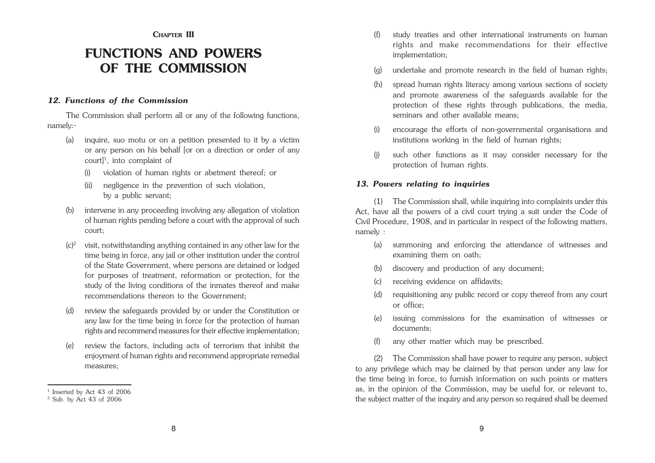**CHAPTER III**

# **FUNCTIONS AND POWERS OF THE COMMISSION**

### *12. Functions of the Commission*

The Commission shall perform all or any of the following functions, namely:-

- (a) inquire, suo motu or on a petition presented to it by a victim or any person on his behalf [or on a direction or order of any court]1, into complaint of
	- (i) violation of human rights or abetment thereof; or
	- (ii) negligence in the prevention of such violation, by a public servant;
- (b) intervene in any proceeding involving any allegation of violation of human rights pending before a court with the approval of such court;
- $(c)<sup>2</sup>$  visit, notwithstanding anything contained in any other law for the time being in force, any jail or other institution under the control of the State Government, where persons are detained or lodged for purposes of treatment, reformation or protection, for the study of the living conditions of the inmates thereof and make recommendations thereon to the Government;
- (d) review the safeguards provided by or under the Constitution or any law for the time being in force for the protection of human rights and recommend measures for their effective implementation;
- (e) review the factors, including acts of terrorism that inhibit the enjoyment of human rights and recommend appropriate remedial measures;
- (f) study treaties and other international instruments on human rights and make recommendations for their effective implementation;
- (g) undertake and promote research in the field of human rights;
- (h) spread human rights literacy among various sections of society and promote awareness of the safeguards available for the protection of these rights through publications, the media, seminars and other available means;
- (i) encourage the efforts of non-governmental organisations and institutions working in the field of human rights;
- (j) such other functions as it may consider necessary for the protection of human rights.

### *13. Powers relating to inquiries*

(1) The Commission shall, while inquiring into complaints under this Act, have all the powers of a civil court trying a suit under the Code of Civil Procedure, 1908, and in particular in respect of the following matters, namely :

- (a) summoning and enforcing the attendance of witnesses and examining them on oath;
- (b) discovery and production of any document;
- (c) receiving evidence on affidavits;
- (d) requisitioning any public record or copy thereof from any court or office;
- (e) issuing commissions for the examination of witnesses or documents;
- (f) any other matter which may be prescribed.

(2) The Commission shall have power to require any person, subject to any privilege which may be claimed by that person under any law for the time being in force, to furnish information on such points or matters as, in the opinion of the Commission, may be useful for, or relevant to, the subject matter of the inquiry and any person so required shall be deemed

<sup>1</sup> Inserted by Act 43 of 2006

<sup>2</sup> Sub. by Act 43 of 2006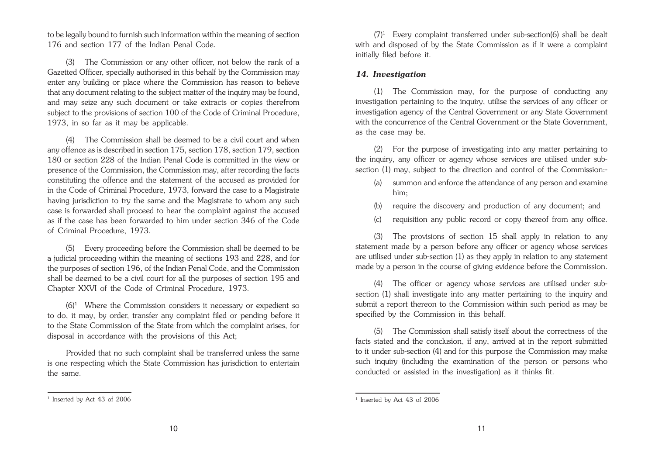to be legally bound to furnish such information within the meaning of section 176 and section 177 of the Indian Penal Code.

(3) The Commission or any other officer, not below the rank of a Gazetted Officer, specially authorised in this behalf by the Commission may enter any building or place where the Commission has reason to believe that any document relating to the subject matter of the inquiry may be found, and may seize any such document or take extracts or copies therefrom subject to the provisions of section 100 of the Code of Criminal Procedure, 1973, in so far as it may be applicable.

(4) The Commission shall be deemed to be a civil court and when any offence as is described in section 175, section 178, section 179, section 180 or section 228 of the Indian Penal Code is committed in the view or presence of the Commission, the Commission may, after recording the facts constituting the offence and the statement of the accused as provided for in the Code of Criminal Procedure, 1973, forward the case to a Magistrate having jurisdiction to try the same and the Magistrate to whom any such case is forwarded shall proceed to hear the complaint against the accused as if the case has been forwarded to him under section 346 of the Code of Criminal Procedure, 1973.

(5) Every proceeding before the Commission shall be deemed to be a judicial proceeding within the meaning of sections 193 and 228, and for the purposes of section 196, of the Indian Penal Code, and the Commission shall be deemed to be a civil court for all the purposes of section 195 and Chapter XXVI of the Code of Criminal Procedure, 1973.

 $(6)^1$  Where the Commission considers it necessary or expedient so to do, it may, by order, transfer any complaint filed or pending before it to the State Commission of the State from which the complaint arises, for disposal in accordance with the provisions of this Act;

Provided that no such complaint shall be transferred unless the same is one respecting which the State Commission has jurisdiction to entertain the same.

1 Inserted by Act 43 of 2006 1 Inserted by Act 43 of 2006

 $(7)^1$  Every complaint transferred under sub-section(6) shall be dealt with and disposed of by the State Commission as if it were a complaint initially filed before it.

### *14. Investigation*

(1) The Commission may, for the purpose of conducting any investigation pertaining to the inquiry, utilise the services of any officer or investigation agency of the Central Government or any State Government with the concurrence of the Central Government or the State Government, as the case may be.

(2) For the purpose of investigating into any matter pertaining to the inquiry, any officer or agency whose services are utilised under subsection (1) may, subject to the direction and control of the Commission:-

- (a) summon and enforce the attendance of any person and examine him;
- (b) require the discovery and production of any document; and
- (c) requisition any public record or copy thereof from any office.

(3) The provisions of section 15 shall apply in relation to any statement made by a person before any officer or agency whose services are utilised under sub-section (1) as they apply in relation to any statement made by a person in the course of giving evidence before the Commission.

(4) The officer or agency whose services are utilised under subsection (1) shall investigate into any matter pertaining to the inquiry and submit a report thereon to the Commission within such period as may be specified by the Commission in this behalf.

(5) The Commission shall satisfy itself about the correctness of the facts stated and the conclusion, if any, arrived at in the report submitted to it under sub-section (4) and for this purpose the Commission may make such inquiry (including the examination of the person or persons who conducted or assisted in the investigation) as it thinks fit.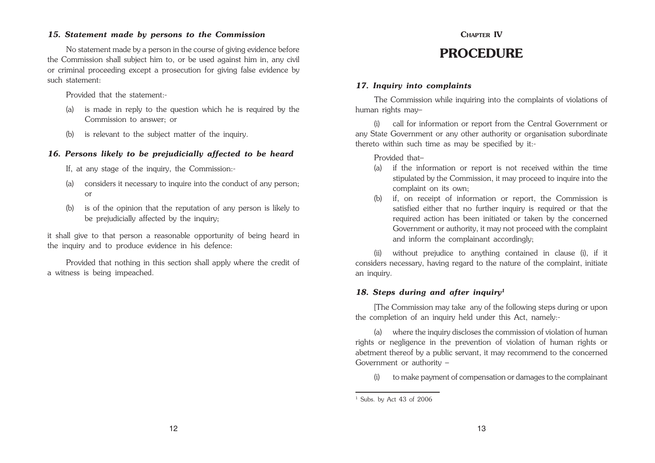#### *15. Statement made by persons to the Commission*

No statement made by a person in the course of giving evidence before the Commission shall subject him to, or be used against him in, any civil or criminal proceeding except a prosecution for giving false evidence by such statement:

Provided that the statement:-

- (a) is made in reply to the question which he is required by the Commission to answer; or
- (b) is relevant to the subject matter of the inquiry.

### *16. Persons likely to be prejudicially affected to be heard*

- If, at any stage of the inquiry, the Commission:-
- (a) considers it necessary to inquire into the conduct of any person; or
- (b) is of the opinion that the reputation of any person is likely to be prejudicially affected by the inquiry;

it shall give to that person a reasonable opportunity of being heard in the inquiry and to produce evidence in his defence:

Provided that nothing in this section shall apply where the credit of a witness is being impeached.

### **CHAPTER IV**

# **PROCEDURE**

### *17. Inquiry into complaints*

The Commission while inquiring into the complaints of violations of human rights may–

(i) call for information or report from the Central Government or any State Government or any other authority or organisation subordinate thereto within such time as may be specified by it:-

Provided that–

- (a) if the information or report is not received within the time stipulated by the Commission, it may proceed to inquire into the complaint on its own;
- (b) if, on receipt of information or report, the Commission is satisfied either that no further inquiry is required or that the required action has been initiated or taken by the concerned Government or authority, it may not proceed with the complaint and inform the complainant accordingly;

(ii) without prejudice to anything contained in clause (i), if it considers necessary, having regard to the nature of the complaint, initiate an inquiry.

### *18. Steps during and after inquiry1*

[The Commission may take any of the following steps during or upon the completion of an inquiry held under this Act, namely:-

(a) where the inquiry discloses the commission of violation of human rights or negligence in the prevention of violation of human rights or abetment thereof by a public servant, it may recommend to the concerned Government or authority –

(i) to make payment of compensation or damages to the complainant

<sup>1</sup> Subs. by Act 43 of 2006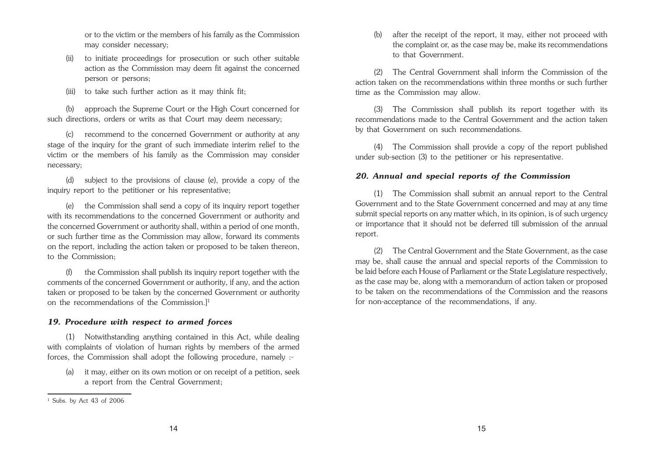or to the victim or the members of his family as the Commission may consider necessary;

- (ii) to initiate proceedings for prosecution or such other suitable action as the Commission may deem fit against the concerned person or persons;
- (iii) to take such further action as it may think fit;

(b) approach the Supreme Court or the High Court concerned for such directions, orders or writs as that Court may deem necessary;

(c) recommend to the concerned Government or authority at any stage of the inquiry for the grant of such immediate interim relief to the victim or the members of his family as the Commission may consider necessary;

(d) subject to the provisions of clause (e), provide a copy of the inquiry report to the petitioner or his representative;

(e) the Commission shall send a copy of its inquiry report together with its recommendations to the concerned Government or authority and the concerned Government or authority shall, within a period of one month, or such further time as the Commission may allow, forward its comments on the report, including the action taken or proposed to be taken thereon, to the Commission;

(f) the Commission shall publish its inquiry report together with the comments of the concerned Government or authority, if any, and the action taken or proposed to be taken by the concerned Government or authority on the recommendations of the Commission.]1

### *19. Procedure with respect to armed forces*

(1) Notwithstanding anything contained in this Act, while dealing with complaints of violation of human rights by members of the armed forces, the Commission shall adopt the following procedure, namely :-

(a) it may, either on its own motion or on receipt of a petition, seek a report from the Central Government;

(b) after the receipt of the report, it may, either not proceed with the complaint or, as the case may be, make its recommendations to that Government.

(2) The Central Government shall inform the Commission of the action taken on the recommendations within three months or such further time as the Commission may allow.

(3) The Commission shall publish its report together with its recommendations made to the Central Government and the action taken by that Government on such recommendations.

(4) The Commission shall provide a copy of the report published under sub-section (3) to the petitioner or his representative.

### *20. Annual and special reports of the Commission*

(1) The Commission shall submit an annual report to the Central Government and to the State Government concerned and may at any time submit special reports on any matter which, in its opinion, is of such urgency or importance that it should not be deferred till submission of the annual report.

(2) The Central Government and the State Government, as the case may be, shall cause the annual and special reports of the Commission to be laid before each House of Parliament or the State Legislature respectively, as the case may be, along with a memorandum of action taken or proposed to be taken on the recommendations of the Commission and the reasons for non-acceptance of the recommendations, if any.

<sup>1</sup> Subs. by Act 43 of 2006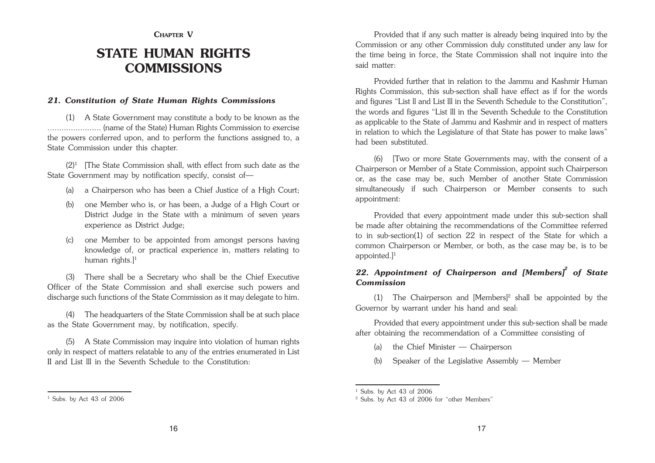**CHAPTER V**

# **STATE HUMAN RIGHTS COMMISSIONS**

### *21. Constitution of State Human Rights Commissions*

(1) A State Government may constitute a body to be known as the ....................... (name of the State) Human Rights Commission to exercise the powers conferred upon, and to perform the functions assigned to, a State Commission under this chapter.

 $(2)^1$  [The State Commission shall, with effect from such date as the State Government may by notification specify, consist of—

- (a) a Chairperson who has been a Chief Justice of a High Court;
- (b) one Member who is, or has been, a Judge of a High Court or District Judge in the State with a minimum of seven years experience as District Judge;
- (c) one Member to be appointed from amongst persons having knowledge of, or practical experience in, matters relating to human rights.]<sup>1</sup>

(3) There shall be a Secretary who shall be the Chief Executive Officer of the State Commission and shall exercise such powers and discharge such functions of the State Commission as it may delegate to him.

(4) The headquarters of the State Commission shall be at such place as the State Government may, by notification, specify.

(5) A State Commission may inquire into violation of human rights only in respect of matters relatable to any of the entries enumerated in List II and List lll in the Seventh Schedule to the Constitution:

Provided that if any such matter is already being inquired into by the Commission or any other Commission duly constituted under any law for the time being in force, the State Commission shall not inquire into the said matter:

Provided further that in relation to the Jammu and Kashmir Human Rights Commission, this sub-section shall have effect as if for the words and figures "List ll and List lll in the Seventh Schedule to the Constitution", the words and figures "List lll in the Seventh Schedule to the Constitution as applicable to the State of Jammu and Kashmir and in respect of matters in relation to which the Legislature of that State has power to make laws" had been substituted.

(6) [Two or more State Governments may, with the consent of a Chairperson or Member of a State Commission, appoint such Chairperson or, as the case may be, such Member of another State Commission simultaneously if such Chairperson or Member consents to such appointment:

Provided that every appointment made under this sub-section shall be made after obtaining the recommendations of the Committee referred to in sub-section(1) of section 22 in respect of the State for which a common Chairperson or Member, or both, as the case may be, is to be appointed.]1

### 22. Appointment of Chairperson and [Members]<sup>2</sup> of State *Commission*

(1) The Chairperson and [Members]2 shall be appointed by the Governor by warrant under his hand and seal:

Provided that every appointment under this sub-section shall be made after obtaining the recommendation of a Committee consisting of

- (a) the Chief Minister Chairperson
- (b) Speaker of the Legislative Assembly Member

<sup>1</sup> Subs. by Act 43 of 2006

<sup>2</sup> Subs. by Act 43 of 2006 for "other Members"

<sup>1</sup> Subs. by Act 43 of 2006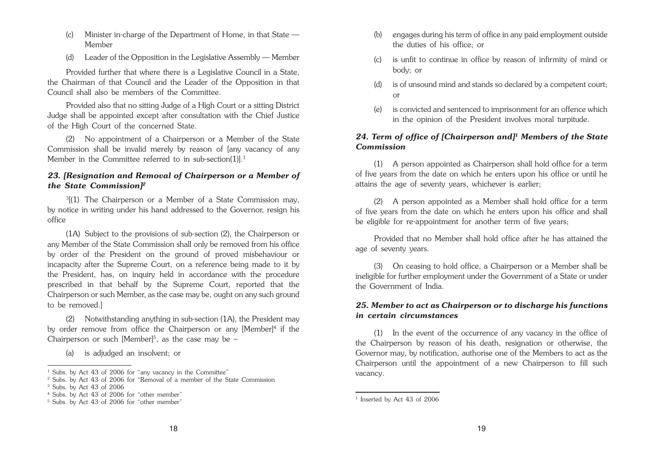- (c) Minister in-charge of the Department of Home, in that State Member
- (d) Leader of the Opposition in the Legislative Assembly Member

Provided further that where there is a Legislative Council in a State, the Chairman of that Council and the Leader of the Opposition in that Council shall also be members of the Committee.

Provided also that no sitting Judge of a High Court or a sitting District Judge shall be appointed except after consultation with the Chief Justice of the High Court of the concerned State.

(2) No appointment of a Chairperson or a Member of the State Commission shall be invalid merely by reason of [any vacancy of any Member in the Committee referred to in sub-section(1)].<sup>1</sup>

### *23. [Resignation and Removal of Chairperson or a Member of the State Commission]2*

 $3(1)$  The Chairperson or a Member of a State Commission may, by notice in writing under his hand addressed to the Governor, resign his office

(1A) Subject to the provisions of sub-section (2), the Chairperson or any Member of the State Commission shall only be removed from his office by order of the President on the ground of proved misbehaviour or incapacity after the Supreme Court, on a reference being made to it by the President, has, on inquiry held in accordance with the procedure prescribed in that behalf by the Supreme Court, reported that the Chairperson or such Member, as the case may be, ought on any such ground to be removed.]

(2) Notwithstanding anything in sub-section (1A), the President may by order remove from office the Chairperson or any [Member]4 if the Chairperson or such [Member]<sup>5</sup>, as the case may be  $-$ 

(a) is adjudged an insolvent; or

- (b) engages during his term of office in any paid employment outside the duties of his office; or
- (c) is unfit to continue in office by reason of infirmity of mind or body; or
- (d) is of unsound mind and stands so declared by a competent court; or
- (e) is convicted and sentenced to imprisonment for an offence which in the opinion of the President involves moral turpitude.

### *24. Term of office of [Chairperson and]1 Members of the State Commission*

(1) A person appointed as Chairperson shall hold office for a term of five years from the date on which he enters upon his office or until he attains the age of seventy years, whichever is earlier;

(2) A person appointed as a Member shall hold office for a term of five years from the date on which he enters upon his office and shall be eligible for re-appointment for another term of five years;

Provided that no Member shall hold office after he has attained the age of seventy years.

(3) On ceasing to hold office, a Chairperson or a Member shall be ineligible for further employment under the Government of a State or under the Government of India.

### *25. Member to act as Chairperson or to discharge his functions in certain circumstances*

(1) In the event of the occurrence of any vacancy in the office of the Chairperson by reason of his death, resignation or otherwise, the Governor may, by notification, authorise one of the Members to act as the Chairperson until the appointment of a new Chairperson to fill such

<sup>&</sup>lt;sup>1</sup> Subs. by Act 43 of 2006 for "any vacancy in the Committee" vacancy.

<sup>2</sup> Subs. by Act 43 of 2006 for "Removal of a member of the State Commission

<sup>3</sup> Subs. by Act 43 of 2006

<sup>4</sup> Subs. by Act 43 of 2006 for "other member"

<sup>&</sup>lt;sup>5</sup> Subs. by Act 43 of 2006 for "other member" 1 Inserted by Act 43 of 2006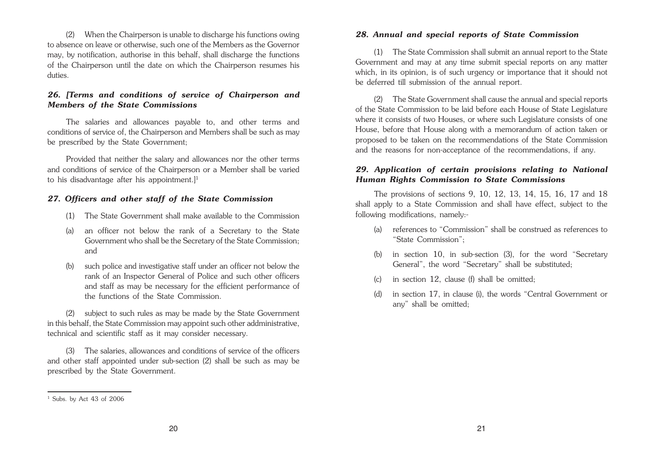(2) When the Chairperson is unable to discharge his functions owing to absence on leave or otherwise, such one of the Members as the Governor may, by notification, authorise in this behalf, shall discharge the functions of the Chairperson until the date on which the Chairperson resumes his duties.

### *26. [Terms and conditions of service of Chairperson and Members of the State Commissions*

The salaries and allowances payable to, and other terms and conditions of service of, the Chairperson and Members shall be such as may be prescribed by the State Government;

Provided that neither the salary and allowances nor the other terms and conditions of service of the Chairperson or a Member shall be varied to his disadvantage after his appointment.]1

### *27. Officers and other staff of the State Commission*

- (1) The State Government shall make available to the Commission
- (a) an officer not below the rank of a Secretary to the State Government who shall be the Secretary of the State Commission; and
- (b) such police and investigative staff under an officer not below the rank of an Inspector General of Police and such other officers and staff as may be necessary for the efficient performance of the functions of the State Commission.

(2) subject to such rules as may be made by the State Government in this behalf, the State Commission may appoint such other addministrative, technical and scientific staff as it may consider necessary.

(3) The salaries, allowances and conditions of service of the officers and other staff appointed under sub-section (2) shall be such as may be prescribed by the State Government.

### *28. Annual and special reports of State Commission*

(1) The State Commission shall submit an annual report to the State Government and may at any time submit special reports on any matter which, in its opinion, is of such urgency or importance that it should not be deferred till submission of the annual report.

(2) The State Government shall cause the annual and special reports of the State Commission to be laid before each House of State Legislature where it consists of two Houses, or where such Legislature consists of one House, before that House along with a memorandum of action taken or proposed to be taken on the recommendations of the State Commission and the reasons for non-acceptance of the recommendations, if any.

### *29. Application of certain provisions relating to National Human Rights Commission to State Commissions*

The provisions of sections 9, 10, 12, 13, 14, 15, 16, 17 and 18 shall apply to a State Commission and shall have effect, subject to the following modifications, namely:-

- (a) references to "Commission" shall be construed as references to "State Commission";
- (b) in section 10, in sub-section (3), for the word "Secretary General", the word "Secretary" shall be substituted;
- (c) in section 12, clause (f) shall be omitted;
- in section 17, in clause (i), the words "Central Government or any" shall be omitted;

<sup>1</sup> Subs. by Act 43 of 2006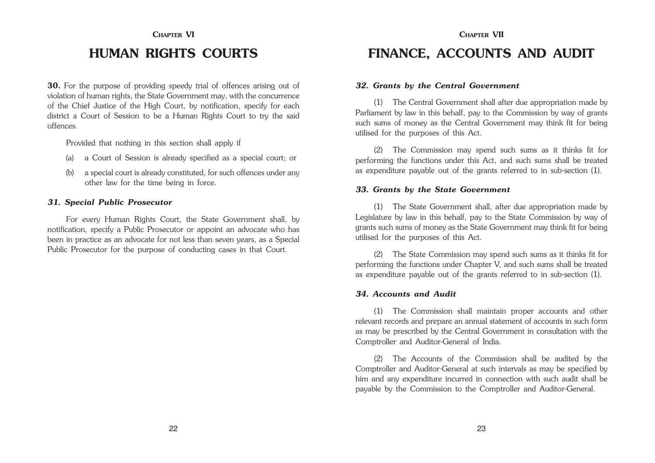### **CHAPTER VI**

## **HUMAN RIGHTS COURTS**

**30.** For the purpose of providing speedy trial of offences arising out of violation of human rights, the State Government may, with the concurrence of the Chief Justice of the High Court, by notification, specify for each district a Court of Session to be a Human Rights Court to try the said offences.

Provided that nothing in this section shall apply if

- (a) a Court of Session is already specified as a special court; or
- (b) a special court is already constituted, for such offences under any other law for the time being in force.

#### *31. Special Public Prosecutor*

For every Human Rights Court, the State Government shall, by notification, specify a Public Prosecutor or appoint an advocate who has been in practice as an advocate for not less than seven years, as a Special Public Prosecutor for the purpose of conducting cases in that Court.

### **CHAPTER VII**

# **FINANCE, ACCOUNTS AND AUDIT**

#### *32. Grants by the Central Government*

(1) The Central Government shall after due appropriation made by Parliament by law in this behalf, pay to the Commission by way of grants such sums of money as the Central Government may think fit for being utilised for the purposes of this Act.

(2) The Commission may spend such sums as it thinks fit for performing the functions under this Act, and such sums shall be treated as expenditure payable out of the grants referred to in sub-section (1).

### *33. Grants by the State Government*

(1) The State Government shall, after due appropriation made by Legislature by law in this behalf, pay to the State Commission by way of grants such sums of money as the State Government may think fit for being utilised for the purposes of this Act.

(2) The State Commission may spend such sums as it thinks fit for performing the functions under Chapter V, and such sums shall be treated as expenditure payable out of the grants referred to in sub-section (1).

#### *34. Accounts and Audit*

(1) The Commission shall maintain proper accounts and other relevant records and prepare an annual statement of accounts in such form as may be prescribed by the Central Government in consultation with the Comptroller and Auditor-General of India.

(2) The Accounts of the Commission shall be audited by the Comptroller and Auditor-General at such intervals as may be specified by him and any expenditure incurred in connection with such audit shall be payable by the Commission to the Comptroller and Auditor-General.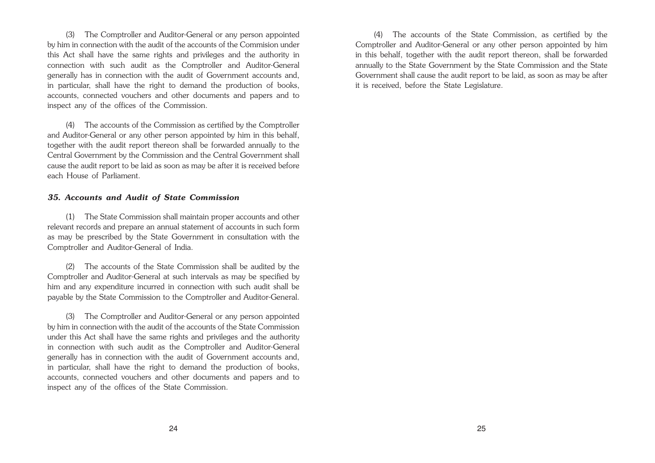(3) The Comptroller and Auditor-General or any person appointed by him in connection with the audit of the accounts of the Commision under this Act shall have the same rights and privileges and the authority in connection with such audit as the Comptroller and Auditor-General generally has in connection with the audit of Government accounts and, in particular, shall have the right to demand the production of books, accounts, connected vouchers and other documents and papers and to inspect any of the offices of the Commission.

(4) The accounts of the Commission as certified by the Comptroller and Auditor-General or any other person appointed by him in this behalf, together with the audit report thereon shall be forwarded annually to the Central Government by the Commission and the Central Government shall cause the audit report to be laid as soon as may be after it is received before each House of Parliament.

### *35. Accounts and Audit of State Commission*

(1) The State Commission shall maintain proper accounts and other relevant records and prepare an annual statement of accounts in such form as may be prescribed by the State Government in consultation with the Comptroller and Auditor-General of India.

(2) The accounts of the State Commission shall be audited by the Comptroller and Auditor-General at such intervals as may be specified by him and any expenditure incurred in connection with such audit shall be payable by the State Commission to the Comptroller and Auditor-General.

(3) The Comptroller and Auditor-General or any person appointed by him in connection with the audit of the accounts of the State Commission under this Act shall have the same rights and privileges and the authority in connection with such audit as the Comptroller and Auditor-General generally has in connection with the audit of Government accounts and, in particular, shall have the right to demand the production of books, accounts, connected vouchers and other documents and papers and to inspect any of the offices of the State Commission.

(4) The accounts of the State Commission, as certified by the Comptroller and Auditor-General or any other person appointed by him in this behalf, together with the audit report thereon, shall be forwarded annually to the State Government by the State Commission and the State Government shall cause the audit report to be laid, as soon as may be after it is received, before the State Legislature.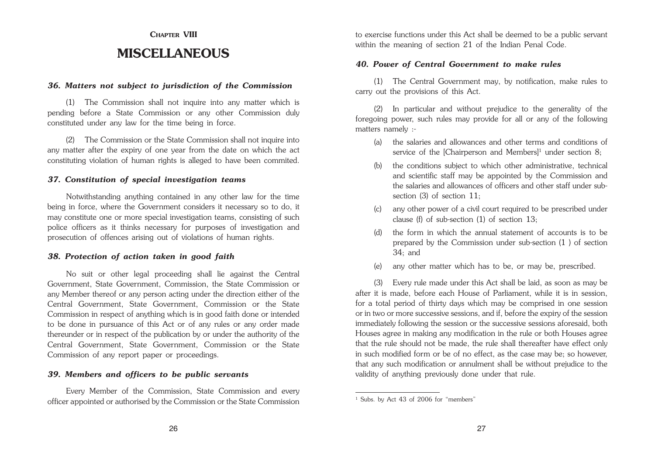# **CHAPTER VIII MISCELLANEOUS**

### *36. Matters not subject to jurisdiction of the Commission*

(1) The Commission shall not inquire into any matter which is pending before a State Commission or any other Commission duly constituted under any law for the time being in force.

(2) The Commission or the State Commission shall not inquire into any matter after the expiry of one year from the date on which the act constituting violation of human rights is alleged to have been commited.

### *37. Constitution of special investigation teams*

Notwithstanding anything contained in any other law for the time being in force, where the Government considers it necessary so to do, it may constitute one or more special investigation teams, consisting of such police officers as it thinks necessary for purposes of investigation and prosecution of offences arising out of violations of human rights.

#### *38. Protection of action taken in good faith*

No suit or other legal proceeding shall lie against the Central Government, State Government, Commission, the State Commission or any Member thereof or any person acting under the direction either of the Central Government, State Government, Commission or the State Commission in respect of anything which is in good faith done or intended to be done in pursuance of this Act or of any rules or any order made thereunder or in respect of the publication by or under the authority of the Central Government, State Government, Commission or the State Commission of any report paper or proceedings.

#### *39. Members and officers to be public servants*

Every Member of the Commission, State Commission and every officer appointed or authorised by the Commission or the State Commission to exercise functions under this Act shall be deemed to be a public servant within the meaning of section 21 of the Indian Penal Code.

### *40. Power of Central Government to make rules*

(1) The Central Government may, by notification, make rules to carry out the provisions of this Act.

(2) In particular and without prejudice to the generality of the foregoing power, such rules may provide for all or any of the following matters namely :-

- (a) the salaries and allowances and other terms and conditions of service of the [Chairperson and Members]<sup>1</sup> under section  $8$ ;
- (b) the conditions subject to which other administrative, technical and scientific staff may be appointed by the Commission and the salaries and allowances of officers and other staff under subsection (3) of section 11;
- any other power of a civil court required to be prescribed under clause (f) of sub-section (1) of section 13;
- (d) the form in which the annual statement of accounts is to be prepared by the Commission under sub-section (1 ) of section 34; and
- (e) any other matter which has to be, or may be, prescribed.

(3) Every rule made under this Act shall be laid, as soon as may be after it is made, before each House of Parliament, while it is in session, for a total period of thirty days which may be comprised in one session or in two or more successive sessions, and if, before the expiry of the session immediately following the session or the successive sessions aforesaid, both Houses agree in making any modification in the rule or both Houses agree that the rule should not be made, the rule shall thereafter have effect only in such modified form or be of no effect, as the case may be; so however, that any such modification or annulment shall be without prejudice to the validity of anything previously done under that rule.

<sup>&</sup>lt;sup>1</sup> Subs. by Act 43 of 2006 for "members"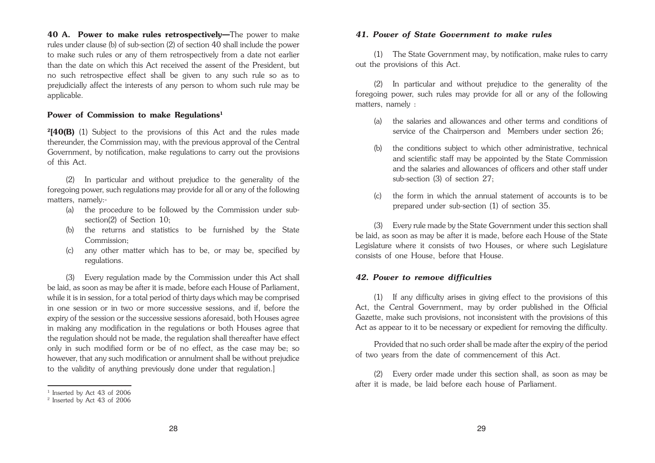**40 A. Power to make rules retrospectively—**The power to make rules under clause (b) of sub-section (2) of section 40 shall include the power to make such rules or any of them retrospectively from a date not earlier than the date on which this Act received the assent of the President, but no such retrospective effect shall be given to any such rule so as to prejudicially affect the interests of any person to whom such rule may be applicable.

### **Power of Commission to make Regulations1**

**2[40(B)** (1) Subject to the provisions of this Act and the rules made thereunder, the Commission may, with the previous approval of the Central Government, by notification, make regulations to carry out the provisions of this Act.

(2) In particular and without prejudice to the generality of the foregoing power, such regulations may provide for all or any of the following matters, namely:-

- (a) the procedure to be followed by the Commission under subsection(2) of Section 10;
- (b) the returns and statistics to be furnished by the State Commission;
- (c) any other matter which has to be, or may be, specified by regulations.

(3) Every regulation made by the Commission under this Act shall be laid, as soon as may be after it is made, before each House of Parliament, while it is in session, for a total period of thirty days which may be comprised in one session or in two or more successive sessions, and if, before the expiry of the session or the successive sessions aforesaid, both Houses agree in making any modification in the regulations or both Houses agree that the regulation should not be made, the regulation shall thereafter have effect only in such modified form or be of no effect, as the case may be; so however, that any such modification or annulment shall be without prejudice to the validity of anything previously done under that regulation.]

### *41. Power of State Government to make rules*

(1) The State Government may, by notification, make rules to carry out the provisions of this Act.

(2) In particular and without prejudice to the generality of the foregoing power, such rules may provide for all or any of the following matters, namely :

- (a) the salaries and allowances and other terms and conditions of service of the Chairperson and Members under section 26;
- (b) the conditions subject to which other administrative, technical and scientific staff may be appointed by the State Commission and the salaries and allowances of officers and other staff under sub-section (3) of section 27;
- (c) the form in which the annual statement of accounts is to be prepared under sub-section (1) of section 35.

(3) Every rule made by the State Government under this section shall be laid, as soon as may be after it is made, before each House of the State Legislature where it consists of two Houses, or where such Legislature consists of one House, before that House.

### *42. Power to remove difficulties*

(1) If any difficulty arises in giving effect to the provisions of this Act, the Central Government, may by order published in the Official Gazette, make such provisions, not inconsistent with the provisions of this Act as appear to it to be necessary or expedient for removing the difficulty.

Provided that no such order shall be made after the expiry of the period of two years from the date of commencement of this Act.

(2) Every order made under this section shall, as soon as may be after it is made, be laid before each house of Parliament.

<sup>1</sup> Inserted by Act 43 of 2006

<sup>2</sup> Inserted by Act 43 of 2006